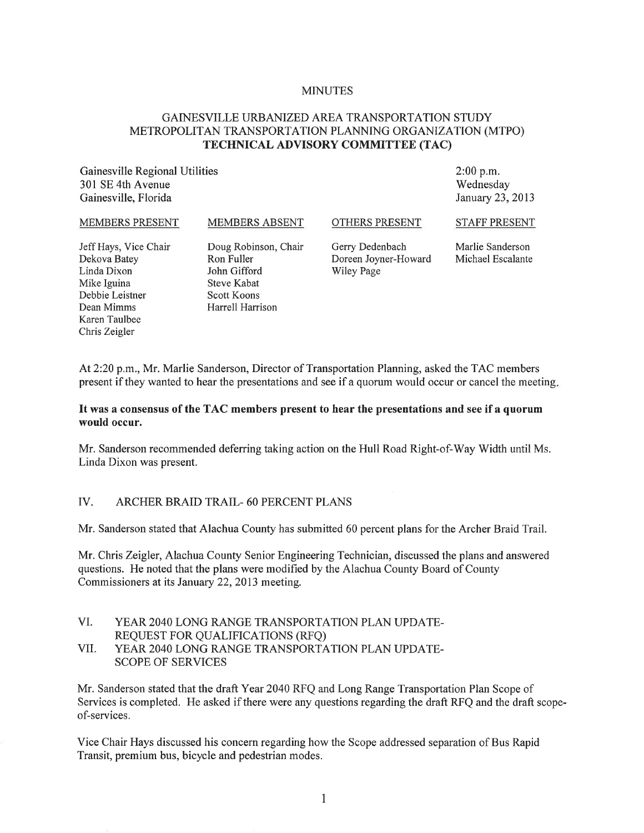#### MINUTES

### GAINESVILLE URBANIZED AREA TRANSPORTATION STUDY METROPOLITAN TRANSPORTATION PLANNING ORGANIZATION (MTPO) TECHNICAL ADVISORY COMMITTEE (TAC)

Gainesville Regional Utilities 301 SE 4th Avenue Gainesville, Florida

2:00 p.m. Wednesday January 23,2013

#### MEMBERS PRESENT

MEMBERS ABSENT

#### OTHERS PRESENT

STAFF PRESENT

Jeff Hays, Vice Chair Dekova Batey Linda Dixon Mike Iguina Debbie Leistner Dean Mimms Karen Taulbee Chris Zeigler

Doug Robinson, Chair Ron Fuller John Gifford Steve Kabat Scott Koons Harrell Harrison

Gerry Dedenbach Doreen Joyner-Howard Wiley Page

Marlie Sanderson Michael Escalante

At 2:20 p.m., Mr. Marlie Sanderson, Director of Transportation Planning, asked the T AC members present if they wanted to hear the presentations and see if a quorum would occur or cancel the meeting.

#### It was a consensus of the TAC members present to hear the presentations and see if a quorum would occur.

Mr. Sanderson recommended deferring taking action on the Hull Road Right-of-Way Width until Ms. Linda Dixon was present.

#### IV. ARCHER BRAID TRAIL- 60 PERCENT PLANS

Mr. Sanderson stated that Alachua County has submitted 60 percent plans for the Archer Braid Trail.

Mr. Chris Zeigler, Alachua County Senior Engineering Technician, discussed the plans and answered questions. He noted that the plans were modified by the Alachua County Board of County Commissioners at its January 22, 2013 meeting.

- VI. YEAR 2040 LONG RANGE TRANSPORTATION PLAN UPDATE-REQUEST FOR QUALIFICATIONS (RFQ)
- VII. YEAR 2040 LONG RANGE TRANSPORTATION PLAN UPDATE-SCOPE OF SERVICES

Mr. Sanderson stated that the draft Year 2040 RFQ and Long Range Transportation Plan Scope of Services is completed. He asked if there were any questions regarding the draft RFQ and the draft scopeof-services.

Vice Chair Hays discussed his concern regarding how the Scope addressed separation of Bus Rapid Transit, premium bus, bicycle and pedestrian modes.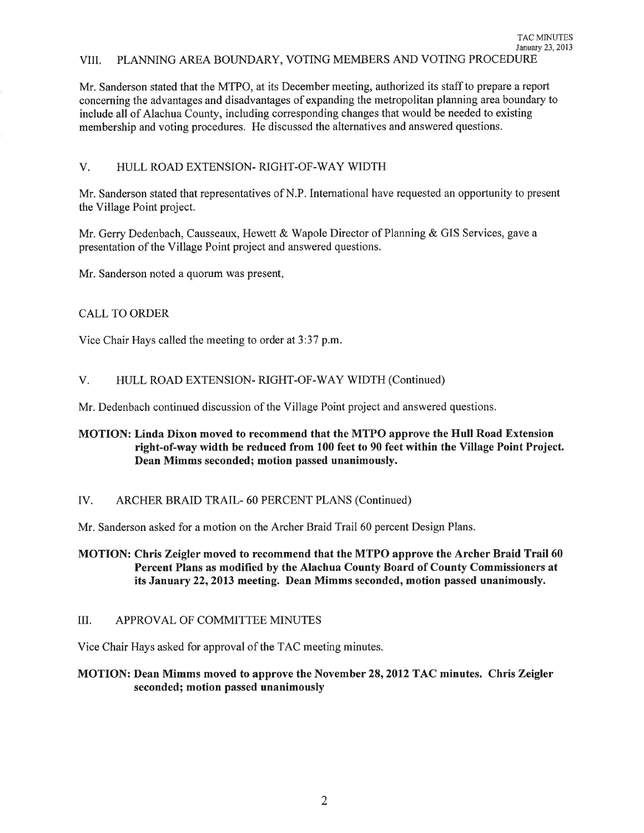Mr. Sanderson stated that the MTPO, at its December meeting, authorized its staff to prepare a report concerning the advantages and disadvantages of expanding the metropolitan planning area boundary to include all of Alachua County, including corresponding changes that would be needed to existing membership and voting procedures. He discussed the alternatives and answered questions.

# V. HULL ROAD EXTENSION- RIGHT-OF-WAY WIDTH

Mr. Sanderson stated that representatives of N.P. International have requested an opportunity to present the Village Point project.

Mr. Gerry Dedenbach, Causseaux, Hewett & Wapole Director of Planning & GIS Services, gave a presentation of the Village Point project and answered questions.

Mr. Sanderson noted a quorum was present.

# CALL TO ORDER

Vice Chair Hays called the meeting to order at 3:37 p.m.

# V. HULL ROAD EXTENSION- RIGHT-OF-WAY WIDTH (Continued)

Mr. Dedenbach continued discussion of the Village Point project and answered questions.

# MOTION: Linda Dixon moved to recommend that the MTPO approve the Hull Road Extension right-of-way width be reduced from 100 feet to 90 feet within the Village Point Project. Dean Mimms seconded; motion passed unanimously.

# IV. ARCHER BRAID TRAIL- 60 PERCENT PLANS (Continued)

Mr. Sanderson asked for a motion on the Archer Braid Trail 60 percent Design Plans.

MOTION: Chris Zeigler moved to recommend that the MTPO approve the Archer Braid Trail 60 Percent Plans as modified by the Alachua County Board of County Commissioners at its January 22,2013 meeting. Dean Mimms seconded, motion passed unanimously.

### III. APPROVAL OF COMMITTEE MINUTES

Vice Chair Hays asked for approval of the TAC meeting minutes.

# MOTION: Dean Mimms moved to approve the November 28, 2012 TAC minutes. Chris Zeigler seconded; motion passed unanimously